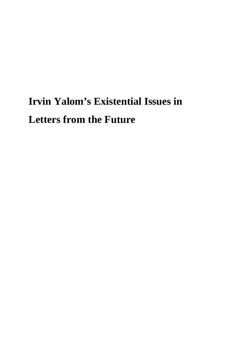# **Irvin Yalom's Existential Issues in Letters from the Future**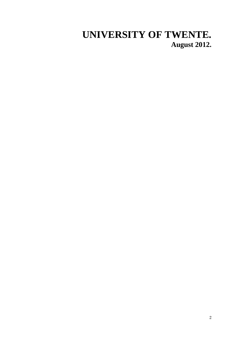# **UNIVERSITY OF TWENTE. August 2012.**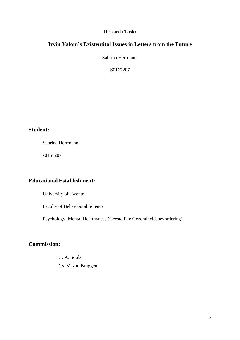#### **Research Task:**

# **Irvin Yalom's Existentital Issues in Letters from the Future**

Sabrina Herrmann

S0167207

# **Student:**

Sabrina Herrmann

s0167207

# **Educational Establishment:**

University of Twente

Faculty of Behavioural Science

Psychology: Mental Healthyness (Geestelijke Gezondheidsbevordering)

# **Commission:**

 Dr. A. Sools Drs. V. van Bruggen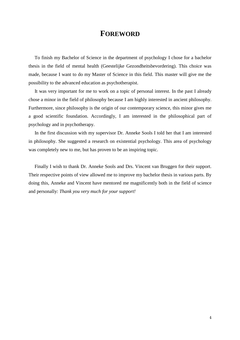# **FOREWORD**

 To finish my Bachelor of Science in the department of psychology I chose for a bachelor thesis in the field of mental health (Geestelijke Gezondheitsbevordering). This choice was made, because I want to do my Master of Science in this field. This master will give me the possibility to the advanced education as psychotherapist.

 It was very important for me to work on a topic of personal interest. In the past I already chose a minor in the field of philosophy because I am highly interested in ancient philosophy. Furthermore, since philosophy is the origin of our contemporary science, this minor gives me a good scientific foundation. Accordingly, I am interested in the philosophical part of psychology and in psychotherapy.

 In the first discussion with my supervisor Dr. Anneke Sools I told her that I am interested in philosophy. She suggested a research on existential psychology. This area of psychology was completely new to me, but has proven to be an inspiring topic.

 Finally I wish to thank Dr. Anneke Sools and Drs. Vincent van Bruggen for their support. Their respective points of view allowed me to improve my bachelor thesis in various parts. By doing this, Anneke and Vincent have mentored me magnificently both in the field of science and personally: *Thank you very much for your support!*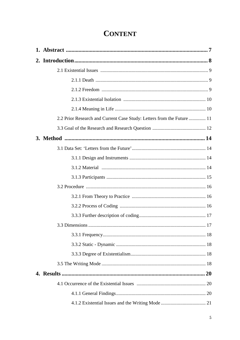| <b>CONTENT</b> |
|----------------|
|----------------|

| 2.2 Prior Research and Current Case Study: Letters from the Future  11 |
|------------------------------------------------------------------------|
|                                                                        |
|                                                                        |
|                                                                        |
|                                                                        |
|                                                                        |
|                                                                        |
|                                                                        |
|                                                                        |
|                                                                        |
|                                                                        |
|                                                                        |
|                                                                        |
|                                                                        |
|                                                                        |
|                                                                        |
|                                                                        |
|                                                                        |
|                                                                        |
|                                                                        |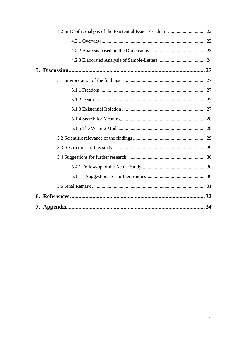| 5.1.1 |  |
|-------|--|
|       |  |
|       |  |
|       |  |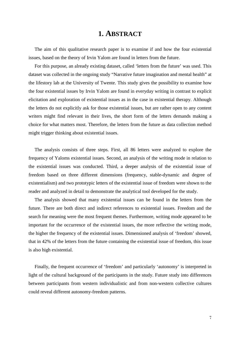# **1. ABSTRACT**

 The aim of this qualitative research paper is to examine if and how the four existential issues, based on the theory of Irvin Yalom are found in letters from the future.

 For this purpose, an already existing dataset, called 'letters from the future' was used. This dataset was collected in the ongoing study "Narrative future imagination and mental health" at the lifestory lab at the University of Twente. This study gives the possibility to examine how the four existential issues by Irvin Yalom are found in everyday writing in contrast to explicit elicitation and exploration of existential issues as in the case in existential therapy. Although the letters do not explicitly ask for those existential issues, but are rather open to any content writers might find relevant in their lives, the short form of the letters demands making a choice for what matters most. Therefore, the letters from the future as data collection method might trigger thinking about existential issues.

 The analysis consists of three steps. First, all 86 letters were analyzed to explore the frequency of Yaloms existential issues. Second, an analysis of the writing mode in relation to the existential issues was conducted. Third, a deeper analysis of the existential issue of freedom based on three different dimensions (frequency, stable-dynamic and degree of existentialism) and two prototypic letters of the existential issue of freedom were shown to the reader and analyzed in detail to demonstrate the analytical tool developed for the study.

 The analysis showed that many existential issues can be found in the letters from the future. There are both direct and indirect references to existential issues. Freedom and the search for meaning were the most frequent themes. Furthermore, writing mode appeared to be important for the occurrence of the existential issues, the more reflective the writing mode, the higher the frequency of the existential issues. Dimensioned analysis of 'freedom' showed, that in 42% of the letters from the future containing the existential issue of freedom, this issue is also high existential.

 Finally, the frequent occurrence of 'freedom' and particularly 'autonomy' is interpreted in light of the cultural background of the participants in the study. Future study into differences between participants from western individualistic and from non-western collective cultures could reveal different autonomy-freedom patterns.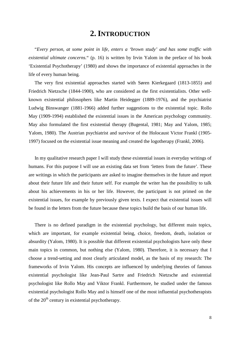# **2. INTRODUCTION**

 "*Every person, at some point in life, enters a 'brown study' and has some traffic with existential ultimate concerns.*" (p. 16) is written by Irvin Yalom in the preface of his book 'Existential Psychotherapy' (1980) and shows the importance of existential approaches in the life of every human being.

 The very first existential approaches started with Søren Kierkegaard (1813-1855) and Friedrich Nietzsche (1844-1900), who are considered as the first existentialists. Other wellknown existential philosophers like Martin Heidegger (1889-1976), and the psychiatrist Ludwig Binswanger (1881-1966) added further suggestions to the existential topic. Rollo May (1909-1994) established the existential issues in the American psychology community. May also formulated the first existential therapy (Bugental, 1981; May and Yalom, 1985; Yalom, 1980). The Austrian psychiatrist and survivor of the Holocaust Victor Frankl (1905- 1997) focused on the existential issue meaning and created the logotherapy (Frankl, 2006).

 In my qualitative research paper I will study these existential issues in everyday writings of humans. For this purpose I will use an existing data set from 'letters from the future'. These are writings in which the participants are asked to imagine themselves in the future and report about their future life and their future self. For example the writer has the possibility to talk about his achievements in his or her life. However, the participant is not primed on the existential issues, for example by previously given texts. I expect that existential issues will be found in the letters from the future because these topics build the basis of our human life.

 There is no defined paradigm in the existential psychology, but different main topics, which are important, for example existential being, choice, freedom, death, isolation or absurdity (Yalom, 1980). It is possible that different existential psychologists have only these main topics in common, but nothing else (Yalom, 1980). Therefore, it is necessary that I choose a trend-setting and most clearly articulated model, as the basis of my research: The frameworks of Irvin Yalom. His concepts are influenced by underlying theories of famous existential psychologist like Jean-Paul Sartre and Friedrich Nietzsche and existential psychologist like Rollo May and Viktor Frankl. Furthermore, he studied under the famous existential psychologist Rollo May and is himself one of the most influential psychotherapists of the  $20<sup>th</sup>$  century in existential psychotherapy.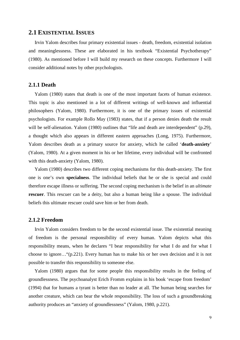# **2.1 EXISTENTIAL ISSUES**

 Irvin Yalom describes four primary existential issues - death, freedom, existential isolation and meaninglessness. These are elaborated in his textbook "Existential Psychotherapy" (1980). As mentioned before I will build my research on these concepts. Furthermore I will consider additional notes by other psychologists.

#### **2.1.1 Death**

 Yalom (1980) states that death is one of the most important facets of human existence. This topic is also mentioned in a lot of different writings of well-known and influential philosophers (Yalom, 1980). Furthermore, it is one of the primary issues of existential psychologists. For example Rollo May (1983) states, that if a person denies death the result will be self-alienation. Yalom (1980) outlines that "life and death are interdependent" (p.29), a thought which also appears in different eastern approaches (Long, 1975). Furthermore, Yalom describes death as a primary source for anxiety, which he called '**death-anxiety**' (Yalom, 1980). At a given moment in his or her lifetime, every individual will be confronted with this death-anxiety (Yalom, 1980).

 Yalom (1980) describes two different coping mechanisms for this death-anxiety. The first one is one's own **specialness**. The individual beliefs that he or she is special and could therefore escape illness or suffering. The second coping mechanism is the belief in an *ultimate*  **rescuer**. This rescuer can be a deity, but also a human being like a spouse. The individual beliefs this ultimate rescuer could save him or her from death.

#### **2.1.2 Freedom**

 Irvin Yalom considers freedom to be the second existential issue. The existential meaning of freedom is the personal responsibility of every human. Yalom depicts what this responsibility means, when he declares "I bear responsibility for what I do and for what I choose to ignore…"(p.221). Every human has to make his or her own decision and it is not possible to transfer this responsibility to someone else.

 Yalom (1980) argues that for some people this responsibility results in the feeling of groundlessness. The psychoanalyst Erich Fromm explains in his book 'escape from freedom' (1994) that for humans a tyrant is better than no leader at all. The human being searches for another creature, which can bear the whole responsibility. The loss of such a groundbreaking authority produces an "anxiety of groundlessness" (Yalom, 1980, p.221).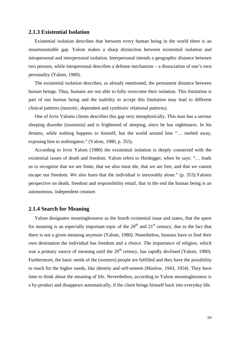#### **2.1.3 Existential Isolation**

 Existential isolation describes that between every human being in the world there is an insurmountable gap. Yalom makes a sharp distinction between existential isolation and intrapersonal and interpersonal isolation. Interpersonal intends a geographic distance between two persons, while intrapersonal describes a defense mechanism – a dissociation of one's own personality (Yalom, 1980).

 The existential isolation describes, as already mentioned, the permanent distance between human beings. Thus, humans are not able to fully overcome their isolation. This limitation is part of our human being and the inability to accept this limitation may lead to different clinical patterns (neurotic, dependent and symbiotic relational patterns).

 One of Irvin Yaloms clients describes this gap very metaphorically. This man has a serious sleeping disorder (insomnia) and is frightened of sleeping, since he has nightmares. In his dreams, while nothing happens to himself, but the world around him "… melted away, exposing him to nothingness." (Yalom, 1980, p. 355).

 According to Irvin Yalom (1980) the existential isolation is deeply connected with the existential issues of death and freedom. Yalom refers to Heidegger, when he says: "… leads us to recognize that we are finite, that we also must die, that we are free, and that we cannot escape our freedom. We also learn that the individual is inexorably alone." (p. 353).Yaloms perspective on death, freedom and responsibility entail, that in the end the human being is an autonomous, independent creature.

#### **2.1.4 Search for Meaning**

 Yalom designates meaninglessness as the fourth existential issue and states, that the quest for meaning is an especially important topic of the  $20<sup>th</sup>$  and  $21<sup>st</sup>$  century, due to the fact that there is not a given meaning anymore (Yalom, 1980). Nonetheless, humans have to find their own destination the individual has freedom and a choice. The importance of religion, which was a primary source of meaning until the  $20<sup>th</sup>$  century, has rapidly declined (Yalom, 1980). Furthermore, the basic needs of the (western) people are fulfilled and they have the possibility to reach for the higher needs, like identity and self-esteem (Maslow, 1943, 1954). They have time to think about the meaning of life. Nevertheless, according to Yalom meaninglessness is a by-product and disappears automatically, if the client brings himself back into everyday life.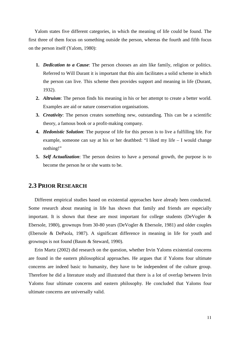Yalom states five different categories, in which the meaning of life could be found. The first three of them focus on something outside the person, whereas the fourth and fifth focus on the person itself (Yalom, 1980):

- **1.** *Dedication to a Cause*: The person chooses an aim like family, religion or politics. Referred to Will Durant it is important that this aim facilitates a solid scheme in which the person can live. This scheme then provides support and meaning in life (Durant, 1932).
- **2.** *Altruism*: The person finds his meaning in his or her attempt to create a better world. Examples are aid or nature conservation organisations.
- **3.** *Creativity*: The person creates something new, outstanding. This can be a scientific theory, a famous book or a profit-making company.
- **4.** *Hedonistic Solution*: The purpose of life for this person is to live a fulfilling life. For example, someone can say at his or her deathbed: "I liked my life – I would change nothing!"
- **5.** *Self Actualization*: The person desires to have a personal growth, the purpose is to become the person he or she wants to be.

# **2.3 PRIOR RESEARCH**

 Different empirical studies based on existential approaches have already been conducted. Some research about meaning in life has shown that family and friends are especially important. It is shown that these are most important for college students (DeVogler  $\&$ Ebersole, 1980), grownups from 30-80 years (DeVogler & Ebersole, 1981) and older couples (Ebersole & DePaola, 1987). A significant difference in meaning in life for youth and grownups is not found (Baum & Steward, 1990).

 Erin Martz (2002) did research on the question, whether Irvin Yaloms existential concerns are found in the eastern philosophical approaches. He argues that if Yaloms four ultimate concerns are indeed basic to humanity, they have to be independent of the culture group. Therefore he did a literature study and illustrated that there is a lot of overlap between Irvin Yaloms four ultimate concerns and eastern philosophy. He concluded that Yaloms four ultimate concerns are universally valid.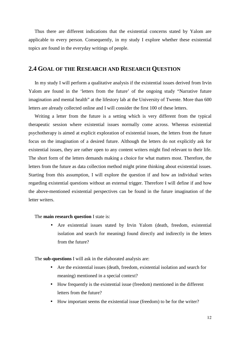Thus there are different indications that the existential concerns stated by Yalom are applicable to every person. Consequently, in my study I explore whether these existential topics are found in the everyday writings of people.

# **2.4 GOAL OF THE RESEARCH AND RESEARCH QUESTION**

 In my study I will perform a qualitative analysis if the existential issues derived from Irvin Yalom are found in the 'letters from the future' of the ongoing study "Narrative future imagination and mental health" at the lifestory lab at the University of Twente. More than 600 letters are already collected online and I will consider the first 100 of these letters.

 Writing a letter from the future is a setting which is very different from the typical therapeutic session where existential issues normally come across. Whereas existential psychotherapy is aimed at explicit exploration of existential issues, the letters from the future focus on the imagination of a desired future. Although the letters do not explicitly ask for existential issues, they are rather open to any content writers might find relevant to their life. The short form of the letters demands making a choice for what matters most. Therefore, the letters from the future as data collection method might prime thinking about existential issues. Starting from this assumption, I will explore the question if and how an individual writes regarding existential questions without an external trigger. Therefore I will define if and how the above-mentioned existential perspectives can be found in the future imagination of the letter writers.

#### The **main research question** I state is:

• Are existential issues stated by Irvin Yalom (death, freedom, existential isolation and search for meaning) found directly and indirectly in the letters from the future?

The **sub-questions** I will ask in the elaborated analysis are:

- Are the existential issues (death, freedom, existential isolation and search for meaning) mentioned in a special context?
- How frequently is the existential issue (freedom) mentioned in the different letters from the future?
- How important seems the existential issue (freedom) to be for the writer?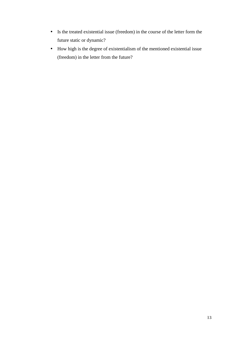- Is the treated existential issue (freedom) in the course of the letter form the future static or dynamic?
- How high is the degree of existentialism of the mentioned existential issue (freedom) in the letter from the future?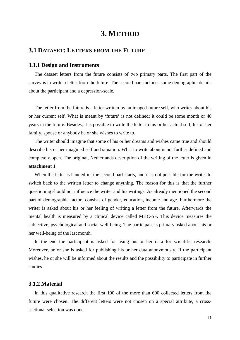# **3. METHOD**

# **3.1 DATASET: LETTERS FROM THE FUTURE**

#### **3.1.1 Design and Instruments**

 The dataset letters from the future consists of two primary parts. The first part of the survey is to write a letter from the future. The second part includes some demographic details about the participant and a depression-scale.

 The letter from the future is a letter written by an imaged future self, who writes about his or her current self. What is meant by 'future' is not defined; it could be some month or 40 years in the future. Besides, it is possible to write the letter to his or her actual self, his or her family, spouse or anybody he or she wishes to write to.

 The writer should imagine that some of his or her dreams and wishes came true and should describe his or her imagined self and situation. What to write about is not further defined and completely open. The original, Netherlands description of the writing of the letter is given in **attachment 1**.

 When the letter is handed in, the second part starts, and it is not possible for the writer to switch back to the written letter to change anything. The reason for this is that the further questioning should not influence the writer and his writings. As already mentioned the second part of demographic factors consists of gender, education, income and age. Furthermore the writer is asked about his or her feeling of writing a letter from the future. Afterwards the mental health is measured by a clinical device called MHC-SF. This device measures the subjective, psychological and social well-being. The participant is primary asked about his or her well-being of the last month.

 In the end the participant is asked for using his or her data for scientific research. Moreover, he or she is asked for publishing his or her data anonymously. If the participant wishes, he or she will be informed about the results and the possibility to participate in further studies.

#### **3.1.2 Material**

 In this qualitative research the first 100 of the more than 600 collected letters from the future were chosen. The different letters were not chosen on a special attribute, a crosssectional selection was done.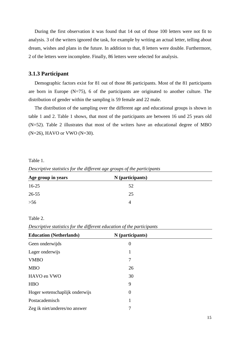During the first observation it was found that 14 out of those 100 letters were not fit to analysis. 3 of the writers ignored the task, for example by writing an actual letter, telling about dream, wishes and plans in the future. In addition to that, 8 letters were double. Furthermore, 2 of the letters were incomplete. Finally, 86 letters were selected for analysis.

#### **3.1.3 Participant**

 Demographic factors exist for 81 out of those 86 participants. Most of the 81 participants are born in Europe  $(N=75)$ , 6 of the participants are originated to another culture. The distribution of gender within the sampling is 59 female and 22 male.

 The distribution of the sampling over the different age and educational groups is shown in table 1 and 2. Table 1 shows, that most of the participants are between 16 und 25 years old (N=52). Table 2 illustrates that most of the writers have an educational degree of MBO (N=26), HAVO or VWO (N=30).

Table 1.

*Descriptive statistics for the different age groups of the participants* 

| Age group in years | N (participants) |  |
|--------------------|------------------|--|
| $16-25$            | 52               |  |
| $26 - 55$          | 25               |  |
| $>56$              |                  |  |

Table 2.

*Descriptive statistics for the different education of the participants* 

| <b>Education (Netherlands)</b> | N (participants) |  |
|--------------------------------|------------------|--|
| Geen onderwijds                | $\overline{0}$   |  |
| Lager onderwijs                | 1                |  |
| <b>VMBO</b>                    | 7                |  |
| <b>MBO</b>                     | 26               |  |
| HAVO en VWO                    | 30               |  |
| <b>HBO</b>                     | 9                |  |
| Hoger wetenschaplijk onderwijs | $\overline{0}$   |  |
| Postacademisch                 |                  |  |
| Zeg ik niet/anderes/no answer  | 7                |  |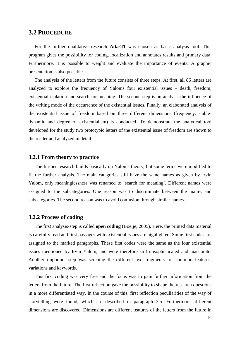# **3.2 PROCEDURE**

 For the further qualitative research **AtlasTI** was chosen as basic analysis tool. This program gives the possibility for coding, localization and annotates results and primary data. Furthermore, it is possible to weight and evaluate the importance of events. A graphic presentation is also possible.

 The analysis of the letters from the future consists of three steps. At first, all 86 letters are analyzed to explore the frequency of Yaloms four existential issues – death, freedom, existential isolation and search for meaning. The second step is an analysis the influence of the writing mode of the occurrence of the existential issues. Finally, an elaborated analysis of the existential issue of freedom based on three different dimensions (frequency, stabledynamic and degree of existentialism) is conducted. To demonstrate the analytical tool developed for the study two prototypic letters of the existential issue of freedom are shown to the reader and analyzed in detail.

#### **3.2.1 From theory to practice**

 The further research builds basically on Yaloms theory, but some terms were modified to fit the further analysis. The main categories still have the same names as given by Irvin Yalom, only meaninglessness was renamed to 'search for meaning'. Different names were assigned to the subcategories. One reason was to discriminate between the main-, and subcategories. The second reason was to avoid confusion through similar names.

#### **3.2.2 Process of coding**

 The first analysis-step is called **open coding** (Boeije, 2005). Here, the printed data material is carefully read and first passages with existential issues are highlighted. Some first codes are assigned to the marked paragraphs. These first codes were the same as the four existential issues mentioned by Irvin Yalom, and were therefore still unsophisticated and inaccurate. Another important step was screning the different text fragments for common features, variations and keywords.

 This first coding was very free and the focus was to gain further information from the letters from the future. The first reflection gave the possibility to shape the research questions in a more differentiated way. In the course of this, first reflection peculiarities of the way of storytelling were found, which are described in paragraph 3.5. Furthermore, different dimensions are discovered. Dimensions are different features of the letters from the future in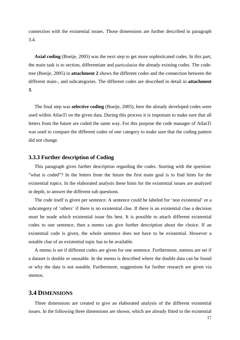connection with the existential issues. Those dimensions are further described in paragraph 3.4.

 **Axial coding** (Boeije, 2005) was the next step to get more sophisticated codes. In this part, the main task is to section, differentiate and particularize the already existing codes. The codetree (Boeije, 2005) in **attachment 2** shows the different codes and the connection between the different main-, and subcategories. The different codes are described in detail in **attachment 3**.

 The final step was **selective coding** (Boeije, 2005), here the already developed codes were used within AtlasTi on the given data. During this process it is important to make sure that all letters from the future are coded the same way. For this purpose the code manager of AtlasTi was used to compare the different codes of one category to make sure that the coding pattern did not change.

#### **3.3.3 Further description of Coding**

 This paragraph gives further description regarding the codes. Starting with the question: "what is coded"? In the letters from the future the first main goal is to find hints for the existential topics. In the elaborated analysis these hints for the existential issues are analyzed in depth, to answer the different sub questions.

 The code itself is given per sentence. A sentence could be labeled for 'non existential' or a subcategory of 'others' if there is no existential clue. If there is an existential clue a decision must be made which existential issue fits best. It is possible to attach different existential codes to one sentence, then a memo can give further description about the choice. If an existential code is given, the whole sentence does not have to be existential. However a notable clue of an existential topic has to be available.

 A memo is set if different codes are given for one sentence. Furthermore, memos are set if a dataset is double or unusable. In the memo is described where the double data can be found or why the data is not useable. Furthermore, suggestions for further research are given via memos.

### **3.4 DIMENSIONS**

 Three dimensions are created to give an elaborated analysis of the different existential issues. In the following three dimensions are shown, which are already fitted to the existential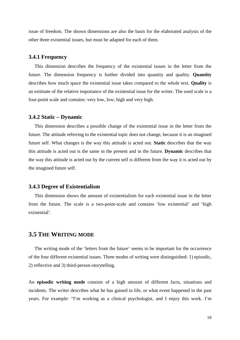issue of freedom. The shown dimensions are also the basis for the elaborated analysis of the other three existential issues, but must be adapted for each of them.

#### **3.4.1 Frequency**

 This dimension describes the frequency of the existential issues in the letter from the future. The dimension frequency is further divided into quantity and quality. **Quantity** describes how much space the existential issue takes compared to the whole text. **Quality** is an estimate of the relative importance of the existential issue for the writer. The used scale is a four-point scale and contains: very low, low, high and very high.

#### **3.4.2 Static – Dynamic**

 This dimension describes a possible change of the existential issue in the letter from the future. The attitude referring to the existential topic does not change, because it is an imagined future self. What changes is the way this attitude is acted out. **Static** describes that the way this attitude is acted out is the same in the present and in the future. **Dynamic** describes that the way this attitude is acted out by the current self is different from the way it is acted out by the imagined future self.

#### **3.4.3 Degree of Existentialism**

 This dimension shows the amount of existentialism for each existential issue in the letter from the future. The scale is a two-point-scale and contains 'low existential' and 'high existential'.

### **3.5 THE WRITING MODE**

 The writing mode of the 'letters from the future' seems to be important for the occurrence of the four different existential issues. Three modes of writing were distinguished: 1) episodic, 2) reflective and 3) third-person-storytelling.

An **episodic writing mode** consists of a high amount of different facts, situations and incidents. The writer describes what he has gained in life, or what event happened in the past years. For example: "I'm working as a clinical psychologist, and I enjoy this work. I'm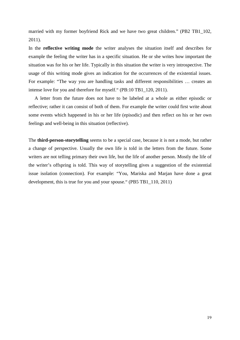married with my former boyfriend Rick and we have two great children." (PB2 TB1\_102, 2011).

In the **reflective writing mode** the writer analyses the situation itself and describes for example the feeling the writer has in a specific situation. He or she writes how important the situation was for his or her life. Typically in this situation the writer is very introspective. The usage of this writing mode gives an indication for the occurrences of the existential issues. For example: "The way you are handling tasks and different responsibilities … creates an intense love for you and therefore for myself." (PB:10 TB1\_120, 2011).

 A letter from the future does not have to be labeled at a whole as either episodic or reflective; rather it can consist of both of them. For example the writer could first write about some events which happened in his or her life (episodic) and then reflect on his or her own feelings and well-being in this situation (reflective).

The **third-person-storytelling** seems to be a special case, because it is not a mode, but rather a change of perspective. Usually the own life is told in the letters from the future. Some writers are not telling primary their own life, but the life of another person. Mostly the life of the writer's offspring is told. This way of storytelling gives a suggestion of the existential issue isolation (connection). For example: "You, Mariska and Marjan have done a great development, this is true for you and your spouse." (PB5 TB1\_110, 2011)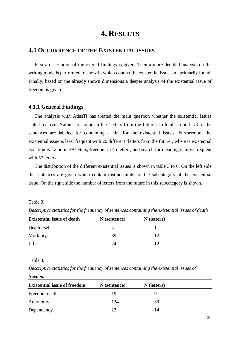# **4. RESULTS**

# **4.1 OCCURRENCE OF THE EXISTENTIAL ISSUES**

 First a description of the overall findings is given. Then a more detailed analysis on the writing mode is performed to show in which context the existential issues are primarily found. Finally, based on the already shown dimensions a deeper analysis of the existential issue of freedom is given.

#### **4.1.1 General Findings**

 The analysis with AtlasTi has treated the main question whether the existential issues stated by Irvin Yalom are found in the 'letters from the future'. In total, around 1/3 of the sentences are labeled for containing a hint for the existential issues. Furthermore the existential issue is least frequent with 20 different 'letters from the future', whereas existential isolation is found in 39 letters, freedom in 45 letters, and search for meaning is most frequent with 57 letters.

 The distribution of the different existential issues is shown in table 3 to 6. On the left side the sentences are given which contain distinct hints for the subcategory of the existential issue. On the right side the number of letters from the future in this subcategory is shown.

#### Table 3.

| <b>Existential issue of death</b> | N (sentence) | N (letters) |  |
|-----------------------------------|--------------|-------------|--|
| Death itself                      | 4            |             |  |
| Mortality                         | 39           | 12          |  |
| Life                              | 24           | 12          |  |

*Descriptive statistics for the frequency of sentences containing the existential issues of death* 

#### Table 4.

*Descriptive statistics for the frequency of sentences containing the existential issues of freedom* 

| <b>Existential issue of freedom</b> | N (sentence) | N (letters) |  |
|-------------------------------------|--------------|-------------|--|
| Freedom itself                      | 19           |             |  |
| Autonomy                            | 124          | 39          |  |
| Dependency                          | つつ           | 14          |  |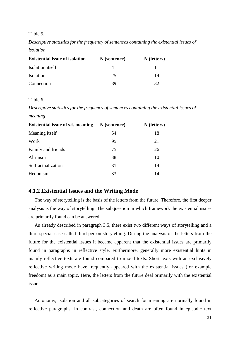#### Table 5.

*Descriptive statistics for the frequency of sentences containing the existential issues of isolation* 

| <b>Existential issue of isolation</b> | N (sentence) | N (letters) |  |
|---------------------------------------|--------------|-------------|--|
| Isolation itself                      | 4            |             |  |
| Isolation                             | 25           | 14          |  |
| Connection                            | 89           | 32          |  |

#### Table 6.

*Descriptive statistics for the frequency of sentences containing the existential issues of meaning*

| <b>Existential issue of s.f. meaning</b> | N (sentence) | N (letters) |  |
|------------------------------------------|--------------|-------------|--|
| Meaning itself                           | 54           | 18          |  |
| Work                                     | 95           | 21          |  |
| Family and friends                       | 75           | 26          |  |
| Altruism                                 | 38           | 10          |  |
| Self-actualization                       | 31           | 14          |  |
| Hedonism                                 | 33           | 14          |  |

#### **4.1.2 Existential Issues and the Writing Mode**

 The way of storytelling is the basis of the letters from the future. Therefore, the first deeper analysis is the way of storytelling. The subquestion in which framework the existential issues are primarily found can be answered.

 As already described in paragraph 3.5, there exist two different ways of storytelling and a third special case called third-person-storytelling. During the analysis of the letters from the future for the existential issues it became apparent that the existential issues are primarily found in paragraphs in reflective style. Furthermore, generally more existential hints in mainly reflective texts are found compared to mixed texts. Short texts with an exclusively reflective writing mode have frequently appeared with the existential issues (for example freedom) as a main topic. Here, the letters from the future deal primarily with the existential issue.

 Autonomy, isolation and all subcategories of search for meaning are normally found in reflective paragraphs. In contrast, connection and death are often found in episodic text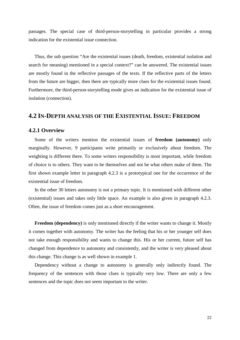passages. The special case of third-person-storytelling in particular provides a strong indication for the existential issue connection.

 Thus, the sub question "Are the existential issues (death, freedom, existential isolation and search for meaning) mentioned in a special context?" can be answered. The existential issues are mostly found in the reflective passages of the texts. If the reflective parts of the letters from the future are bigger, then there are typically more clues for the existential issues found. Furthermore, the third-person-storytelling mode gives an indication for the existential issue of isolation (connection).

# **4.2 IN-DEPTH ANALYSIS OF THE EXISTENTIAL ISSUE: FREEDOM**

#### **4.2.1 Overview**

 Some of the writers mention the existential issues of **freedom (autonomy)** only marginally. However, 9 participants write primarily or exclusively about freedom. The weighting is different there. To some writers responsibility is most important, while freedom of choice is to others. They want to be themselves and not be what others make of them. The first shown example letter in paragraph 4.2.3 is a prototypical one for the occurrence of the existential issue of freedom.

 In the other 30 letters autonomy is not a primary topic. It is mentioned with different other (existential) issues and takes only little space. An example is also given in paragraph 4.2.3. Often, the issue of freedom comes just as a short encouragement.

 **Freedom (dependency)** is only mentioned directly if the writer wants to change it. Mostly it comes together with autonomy. The writer has the feeling that his or her younger self does not take enough responsibility and wants to change this. His or her current, future self has changed from dependence to autonomy and consistently, and the writer is very pleased about this change. This change is as well shown in example 1.

 Dependency without a change to autonomy is generally only indirectly found. The frequency of the sentences with those clues is typically very low. There are only a few sentences and the topic does not seem important to the writer.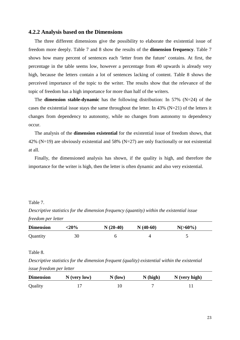#### **4.2.2 Analysis based on the Dimensions**

 The three different dimensions give the possibility to elaborate the existential issue of freedom more deeply. Table 7 and 8 show the results of the **dimension frequency**. Table 7 shows how many percent of sentences each 'letter from the future' contains. At first, the percentage in the table seems low, however a percentage from 40 upwards is already very high, because the letters contain a lot of sentences lacking of content. Table 8 shows the perceived importance of the topic to the writer. The results show that the relevance of the topic of freedom has a high importance for more than half of the writers.

 The **dimension stable-dynamic** has the following distribution: In 57% (N=24) of the cases the existential issue stays the same throughout the letter. In 43% (N=21) of the letters it changes from dependency to autonomy, while no changes from autonomy to dependency occur.

 The analysis of the **dimension existential** for the existential issue of freedom shows, that 42% (N=19) are obviously existential and 58% (N=27) are only fractionally or not existential at all.

 Finally, the dimensioned analysis has shown, if the quality is high, and therefore the importance for the writer is high, then the letter is often dynamic and also very existential.

#### Table 7.

*Descriptive statistics for the dimension frequency (quantity) within the existential issue freedom per letter* 

| <b>Dimension</b> | $<$ 20% | $N(20-40)$ | $N(40-60)$ | $N(>60\%)$ |
|------------------|---------|------------|------------|------------|
| Quantity         | 30      |            |            |            |

#### Table 8.

*Descriptive statistics for the dimension frequent (quality) existential within the existential issue freedom per letter* 

| <b>Dimension</b> | $N$ (very low) | $N$ (low) | N(high) | $N$ (very high) |
|------------------|----------------|-----------|---------|-----------------|
| Quality          |                |           |         |                 |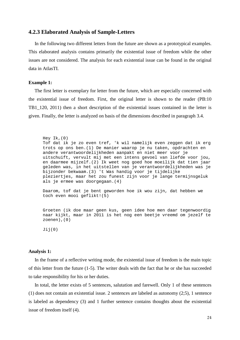#### **4.2.3 Elaborated Analysis of Sample-Letters**

 In the following two different letters from the future are shown as a prototypical examples. This elaborated analysis contains primarily the existential issue of freedom while the other issues are not considered. The analysis for each existential issue can be found in the original data in AtlasTI.

#### **Example 1:**

 The first letter is exemplary for letter from the future, which are especially concerned with the existential issue of freedom. First, the original letter is shown to the reader (PB:10 TB1\_120, 2011) then a short description of the existential issues contained in the letter is given. Finally, the letter is analyzed on basis of the dimensions described in paragraph 3.4.

Hey Ik,(0) Tof dat ik je zo even tref, 'k wil namelijk even zeggen dat ik erg trots op ons ben.(1) De manier waarop je nu taken, opdrachten en andere verantwoordelijkheden aanpakt en niet meer voor je uitschuift, vervult mij met een intens gevoel van liefde voor jou, en daarmee mijzelf.(2) Ik weet nog goed hoe moeilijk dat tien jaar geleden was, in het uitstellen van je verantwoordelijkheden was je bijzonder bekwaam.(3) 't Was handig voor je tijdelijke pleziertjes, maar het zou funest zijn voor je lange termijnsgeluk als je ermee was doorgegaan.(4)

Daarom, tof dat je bent geworden hoe ik wou zijn, dat hebben we toch even mooi geflikt!(5)

Groeten (ik doe maar geen kus, geen idee hoe men daar tegenwoordig naar kijkt, maar in 2011 is het nog een beetje vreemd om jezelf te zoenen),(0)

Jij(0)

#### **Analysis 1:**

 In the frame of a reflective writing mode, the existential issue of freedom is the main topic of this letter from the future (1-5). The writer deals with the fact that he or she has succeeded to take responsibility for his or her duties.

 In total, the letter exists of 5 sentences, salutation and farewell. Only 1 of these sentences (1) does not contain an existential issue. 2 sentences are labeled as autonomy (2;5), 1 sentence is labeled as dependency (3) and 1 further sentence contains thoughts about the existential issue of freedom itself (4).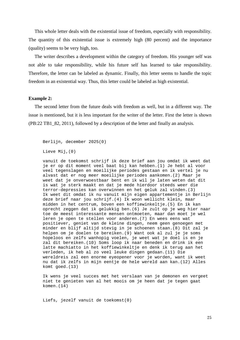This whole letter deals with the existential issue of freedom, especially with responsibility. The quantity of this existential issue is extremely high (80 percent) and the importance (quality) seems to be very high, too.

 The writer describes a development within the category of freedom. His younger self was not able to take responsibility, while his future self has learned to take responsibility. Therefore, the letter can be labeled as dynamic. Finally, this letter seems to handle the topic freedom in an existential way. Thus, this letter could be labeled as high existential.

#### **Example 2:**

 The second letter from the future deals with freedom as well, but in a different way. The issue is mentioned, but it is less important for the writer of the letter. First the letter is shown (PB:22 TB1\_82, 2011), followed by a description of the letter and finally an analysis.

Berlijn, december 2025(0)

Lieve Mij,(0)

vanuit de toekomst schrijf ik deze brief aan jou omdat ik weet dat je er op dit moment veel baat bij kan hebben.(1) Je hebt al voor veel tegenslagen en moeilijke periodes gestaan en ik vertel je nu alvast dat er nog meer moeilijke periodes aankomen.(2) Maar je weet dat je onverwoestbaar bent en ik wil je laten weten dat dit is wat je sterk maakt en dat je mede hierdoor steeds weer die terror-depressies kan overwinnen en het geluk zal vinden.(3) Ik weet dit omdat ik nu vanuit mijn eigen appartementje in Berlijn deze brief naar jou schrijf.(4) Ik woon wellicht klein, maar midden in het centrum, boven een koffiewinkeltje.(5) En ik kan oprecht zeggen dat ik gelukkig ben.(6) Je zult op je weg hier naar toe de meest interessante mensen ontmoeten, maar dan moet je wel leren je open te stellen voor anderen.(7) En wees eens wat positiever, geniet van de kleine dingen, neem geen genoegen met minder en blijf altijd stevig in je schoenen staan.(8) Dit zal je helpen om je doelen te bereiken.(9) Want ook al zul je je soms hopeloos en zelfs wanhopig voelen, je weet wat je doel is en je zal dit bereiken.(10) Soms loop ik naar beneden en drink ik een latte machiatto in het koffiewinkeltje en denk ik terug aan het verleden, ik heb al zo veel leuke dingen gedaan.(11) Die wereldreis zal een enorme eyeopener voor je worden, want ik weet nu dat ik zelfs in mijn eentje de hele wereld aan kan.(12) Alles komt goed.(13)

Ik wens je veel succes met het verslaan van je demonen en vergeet niet te genieten van al het moois om je heen dat je tegen gaat komen.(14)

Liefs, jezelf vanuit de toekomst(0)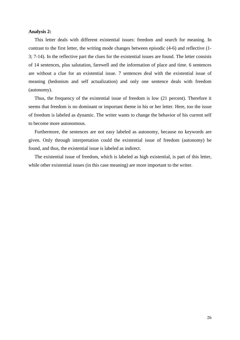#### **Analysis 2:**

 This letter deals with different existential issues: freedom and search for meaning. In contrast to the first letter, the writing mode changes between episodic (4-6) and reflective (1- 3; 7-14). In the reflective part the clues for the existential issues are found. The letter consists of 14 sentences, plus salutation, farewell and the information of place and time. 6 sentences are without a clue for an existential issue. 7 sentences deal with the existential issue of meaning (hedonism and self actualization) and only one sentence deals with freedom (autonomy).

 Thus, the frequency of the existential issue of freedom is low (21 percent). Therefore it seems that freedom is no dominant or important theme in his or her letter. Here, too the issue of freedom is labeled as dynamic. The writer wants to change the behavior of his current self to become more autonomous.

 Furthermore, the sentences are not easy labeled as autonomy, because no keywords are given. Only through interpretation could the existential issue of freedom (autonomy) be found, and thus, the existential issue is labeled as indirect.

 The existential issue of freedom, which is labeled as high existential, is part of this letter, while other existential issues (in this case meaning) are more important to the writer.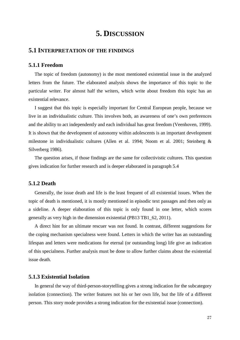# **5. DISCUSSION**

#### **5.1 INTERPRETATION OF THE FINDINGS**

#### **5.1.1 Freedom**

 The topic of freedom (autonomy) is the most mentioned existential issue in the analyzed letters from the future. The elaborated analysis shows the importance of this topic to the particular writer. For almost half the writers, which write about freedom this topic has an existential relevance.

 I suggest that this topic is especially important for Central European people, because we live in an individualistic culture. This involves both, an awareness of one's own preferences and the ability to act independently and each individual has great freedom (Veenhoven, 1999). It is shown that the development of autonomy within adolescents is an important development milestone in individualistic cultures (Allen et al. 1994; Noom et al. 2001; Steinberg & Silverberg 1986).

 The question arises, if those findings are the same for collectivistic cultures. This question gives indication for further research and is deeper elaborated in paragraph 5.4

### **5.1.2 Death**

 Generally, the issue death and life is the least frequent of all existential issues. When the topic of death is mentioned, it is mostly mentioned in episodic text passages and then only as a sideline. A deeper elaboration of this topic is only found in one letter, which scores generally as very high in the dimension existential (PB13 TB1\_62, 2011).

 A direct hint for an ultimate rescuer was not found. In contrast, different suggestions for the coping mechanism specialness were found. Letters in which the writer has an outstanding lifespan and letters were medications for eternal (or outstanding long) life give an indication of this specialness. Further analysis must be done to allow further claims about the existential issue death.

#### **5.1.3 Existential Isolation**

 In general the way of third-person-storytelling gives a strong indication for the subcategory isolation (connection). The writer features not his or her own life, but the life of a different person. This story mode provides a strong indication for the existential issue (connection).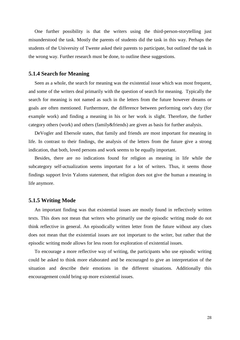One further possibility is that the writers using the third-person-storytelling just misunderstood the task. Mostly the parents of students did the task in this way. Perhaps the students of the University of Twente asked their parents to participate, but outlined the task in the wrong way. Further research must be done, to outline these suggestions.

#### **5.1.4 Search for Meaning**

 Seen as a whole, the search for meaning was the existential issue which was most frequent, and some of the writers deal primarily with the question of search for meaning. Typically the search for meaning is not named as such in the letters from the future however dreams or goals are often mentioned. Furthermore, the difference between performing one's duty (for example work) and finding a meaning in his or her work is slight. Therefore, the further category others (work) and others (family&friends) are given as basis for further analysis.

 DeVogler and Ebersole states, that family and friends are most important for meaning in life. In contrast to their findings, the analysis of the letters from the future give a strong indication, that both, loved persons and work seems to be equally important.

 Besides, there are no indications found for religion as meaning in life while the subcategory self-actualization seems important for a lot of writers. Thus, it seems those findings support Irvin Yaloms statement, that religion does not give the human a meaning in life anymore.

#### **5.1.5 Writing Mode**

 An important finding was that existential issues are mostly found in reflectively written texts. This does not mean that writers who primarily use the episodic writing mode do not think reflective in general. An episodically written letter from the future without any clues does not mean that the existential issues are not important to the writer, but rather that the episodic writing mode allows for less room for exploration of existential issues.

 To encourage a more reflective way of writing, the participants who use episodic writing could be asked to think more elaborated and be encouraged to give an interpretation of the situation and describe their emotions in the different situations. Additionally this encouragement could bring up more existential issues.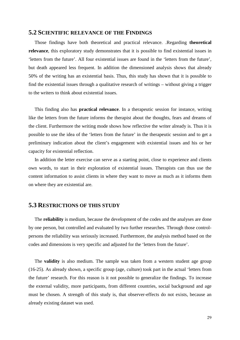#### **5.2 SCIENTIFIC RELEVANCE OF THE FINDINGS**

 Those findings have both theoretical and practical relevance. .Regarding **theoretical relevance**, this exploratory study demonstrates that it is possible to find existential issues in 'letters from the future'. All four existential issues are found in the 'letters from the future', but death appeared less frequent. In addition the dimensioned analysis shows that already 50% of the writing has an existential basis. Thus, this study has shown that it is possible to find the existential issues through a qualitative research of writings – without giving a trigger to the writers to think about existential issues.

 This finding also has **practical relevance**. In a therapeutic session for instance, writing like the letters from the future informs the therapist about the thoughts, fears and dreams of the client. Furthermore the writing mode shows how reflective the writer already is. Thus it is possible to use the idea of the 'letters from the future' in the therapeutic session and to get a preliminary indication about the client's engagement with existential issues and his or her capacity for existential reflection.

 In addition the letter exercise can serve as a starting point, close to experience and clients own words, to start in their exploration of existential issues. Therapists can thus use the content information to assist clients in where they want to move as much as it informs them on where they are existential are.

# **5.3 RESTRICTIONS OF THIS STUDY**

 The **reliability** is medium, because the development of the codes and the analyses are done by one person, but controlled and evaluated by two further researches. Through those controlpersons the reliability was seriously increased. Furthermore, the analysis method based on the codes and dimensions is very specific and adjusted for the 'letters from the future'.

 The **validity** is also medium. The sample was taken from a western student age group (16-25). As already shown, a specific group (age, culture) took part in the actual 'letters from the future' research. For this reason is it not possible to generalize the findings. To increase the external validity, more participants, from different countries, social background and age must be chosen. A strength of this study is, that observer-effects do not exists, because an already existing dataset was used.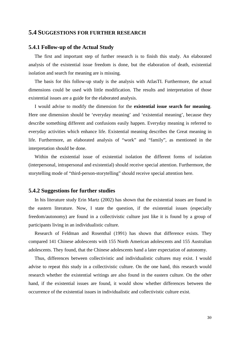#### **5.4 SUGGESTIONS FOR FURTHER RESEARCH**

#### **5.4.1 Follow-up of the Actual Study**

 The first and important step of further research is to finish this study. An elaborated analysis of the existential issue freedom is done, but the elaboration of death, existential isolation and search for meaning are is missing.

 The basis for this follow-up study is the analysis with AtlasTI. Furthermore, the actual dimensions could be used with little modification. The results and interpretation of those existential issues are a guide for the elaborated analysis.

 I would advise to modify the dimension for the **existential issue search for meaning**. Here one dimension should be 'everyday meaning' and 'existential meaning', because they describe something different and confusions easily happen. Everyday meaning is referred to everyday activities which enhance life. Existential meaning describes the Great meaning in life. Furthermore, an elaborated analysis of "work" and "family", as mentioned in the interpretation should be done.

 Within the existential issue of existential isolation the different forms of isolation (interpersonal, intrapersonal and existential) should receive special attention. Furthermore, the storytelling mode of "third-person-storytelling" should receive special attention here.

#### **5.4.2 Suggestions for further studies**

 In his literature study Erin Martz (2002) has shown that the existential issues are found in the eastern literature. Now, I state the question, if the existential issues (especially freedom/autonomy) are found in a collectivistic culture just like it is found by a group of participants living in an individualistic culture.

 Research of Feldman and Rosenthal (1991) has shown that difference exists. They compared 141 Chinese adolescents with 155 North American adolescents and 155 Australian adolescents. They found, that the Chinese adolescents hand a later expectation of autonomy.

 Thus, differences between collectivistic and individualistic cultures may exist. I would advise to repeat this study in a collectivistic culture. On the one hand, this research would research whether the existential writings are also found in the eastern culture. On the other hand, if the existential issues are found, it would show whether differences between the occurrence of the existential issues in individualistic and collectivistic culture exist.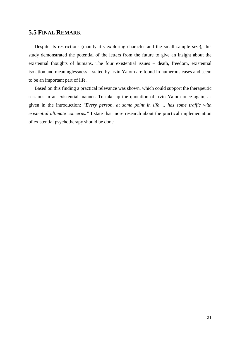# **5.5 FINAL REMARK**

 Despite its restrictions (mainly it's exploring character and the small sample size), this study demonstrated the potential of the letters from the future to give an insight about the existential thoughts of humans. The four existential issues – death, freedom, existential isolation and meaninglessness – stated by Irvin Yalom are found in numerous cases and seem to be an important part of life.

 Based on this finding a practical relevance was shown, which could support the therapeutic sessions in an existential manner. To take up the quotation of Irvin Yalom once again, as given in the introduction: "*Every person, at some point in life ... has some traffic with existential ultimate concerns."* I state that more research about the practical implementation of existential psychotherapy should be done.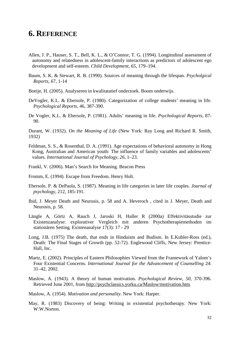# **6. REFERENCE**

- Allen, J. P., Hauser, S. T., Bell, K. L., & O'Connor, T. G. (1994). Longitudinal assessment of autonomy and relatedness in adolescent-family interactions as predictors of adolescent ego development and self-esteem. *Child Development, 65*, 179–194.
- Baum, S. K. & Stewart, R. B. (1990). Sources of meaning through the lifespan. *Psycholgical Reports*, 67, 1-14
- Boeije, H. (2005). Analyseren in kwalitatatief onderzoek. Boom onderwijs.
- DeVogler, K.L. & Ebersole, P. (1980). Categorization of college students' meaning in life.  *Psychological Reports*, 46, 387-390.
- De Vogler, K.L. & Ebersole, P. (1981). Adults' meaning in life. *Psychological Reports*, 87- 90.

Durant, W. (1932). *On the Meaning of Life* (New York: Ray Long and Richard R. Smith, 1932)

- Feldman, S. S., & Rosenthal, D. A. (1991). Age expectations of behavioral autonomy in Hong Kong, Australian and American youth: The influence of family variables and adolescents' values. *International Journal of Psychology, 26*, 1–23.
- Frankl, V. (2006). Man's Search for Meaning. Beacon Press
- Fromm, E. (1994). Escape from Freedom. Henry Holt.
- Ebersole, P. & DePaola, S. (1987). Meaning in life categories in later life couples. *Journal of psychology*, 212, 185-191.
- Ibid, J. Meyer Death and Neurosis, p. 58 and A. Heveroch , cited in J. Meyer, Death and Neurosis, p. 58.
- Längle A, Görtz A, Rauch J, Jaroski H, Haller R (2000a) Effektivitässtudie zur Existenzanalyse: explorativer Vergleich mit anderen Psychotherapiemethoden im stationären Setting. Existenanalyse 17(3): 17 - 29
- Long, J.B. (1975) The death, that ends in Hinduism and Budism. In E.Kubler-Ross (ed.), Death: The Final Stages of Growth (pp. 52-72). Englewood Cliffs, New Jersey: Prentice- Hall, Inc.
- Martz, E. (2002). Principles of Eastern Philosophies Viewed from the Framework of Yalom's Four Existential Concerns. *International Journal for the Advancement of Counselling* 24: 31–42, 2002.
- Maslow, A. (1943). A theory of human motivation. *Psychological Review, 50*, 370-396. Retrieved June 2001, from http://psychclassics.yorku.ca/Maslow/motivation.htm.
- Maslow, A. (1954). *Motivation and personality*. New York: Harper.
- May, R. (1983) Discovery of being: Writing in existential psychotherapy. New York: W.W.Norton.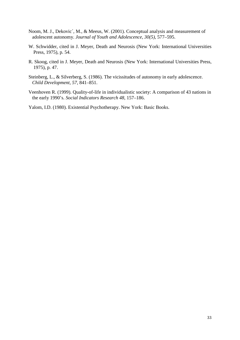- Noom, M. J., Dekovic´, M., & Meeus, W. (2001). Conceptual analysis and measurement of adolescent autonomy. *Journal of Youth and Adolescence, 30(5)*, 577–595.
- W. Schwidder, cited in J. Meyer, Death and Neurosis (New York: International Universities Press, 1975), p. 54.
- R. Skoog, cited in J. Meyer, Death and Neurosis (New York: International Universities Press, 1975), p. 47.
- Steinberg, L., & Silverberg, S. (1986). The vicissitudes of autonomy in early adolescence. *Child Development, 57*, 841–851.
- Veenhoven R. (1999). Quality-of-life in individualistic society: A comparison of 43 nations in the early 1990's. *Social Indicators Research 48*, 157–186.

Yalom, I.D. (1980). Existential Psychotherapy. New York: Basic Books.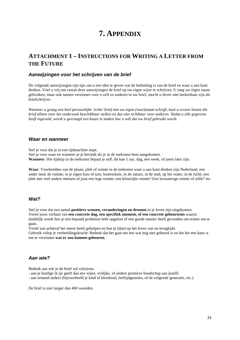# **7. APPENDIX**

# **ATTACHMENT 1 – INSTRUCTIONS FOR WRITING A LETTER FROM THE FUTURE**

#### **Aanwijzingen voor het schrijven van de brief**

De volgende aanwijzingen zijn tips om u een idee te geven wat de bedoeling is van de brief en waar u aan kunt denken. Voel u vrij om vanuit deze aanwijzingen de brief op uw eigen wijze te schrijven. U mag uw eigen naam gebruiken, maar ook namen verzinnen voor u zelf en anderen in uw brief, mocht u liever niet herkenbaar zijn als briefschrijver.

*Wanneer u graag een heel persoonlijke 'echte' brief met uw eigen (voor)naam schrijft, kunt u ervoor kiezen die brief alleen voor het onderzoek beschikbaar stellen en dus niet zichtbaar voor anderen. Nadat u alle gegevens heeft ingevuld, wordt u gevraagd een keuze te maken hoe u wilt dat uw brief gebruikt wordt*.

#### **Waar en wanneer**

Stel je voor dat je in een tijdmachine stapt.

Stel je voor waar en wanneer je je bevindt als je in de toekomst bent aangekomen.

**Wanneer**: Het tijdstip in de toekomst bepaal je zelf, dit kan 1 uur, dag, een week, of jaren later zijn.

**Waar**: Voorbeelden van de plaats, plek of ruimte in de toekomst waar u aan kunt denken zijn Nederland, een ander land, de ruimte; in je eigen huis of tuin, buitenshuis, in de natuur, in de stad, op het water, in de lucht; een plek met veel andere mensen of juist een lege ruimte; een kleurrijke ruimte? Een lawaaierige ruimte of stille? etc.

#### **Wat?**

Stel je voor dat een aantal **positieve wensen, veranderingen en dromen** in je leven zijn uitgekomen. Vertel jouw verhaal van **een concrete dag, een specifiek moment, of een concrete gebeurtenis** waarin duidelijk wordt hoe je een bepaald probleem hebt opgelost of een goede manier heeft gevonden om ermee om te gaan.

Vertel wat achteraf het meest heeft geholpen en hoe je (dan) op het leven van nu terugkijkt. Gebruik volop je verbeeldingskracht: Bedenk dat het gaat om iets wat nog niet gebeurd is en dat het een kans is om te verzinnen **wat er zou kunnen gebeuren**.

#### **Aan wie?**

Bedenk aan wie je de brief wil schrijven.

- aan je huidige ik (je geeft dan een wijze, vrolijke, of andere positieve boodschap aan jezelf)

- aan iemand anders (bijvoorbeeld je kind of kleinkind, leeftijdgenoten, of de volgende generatie, etc.)

De brief is niet langer dan 400 woorden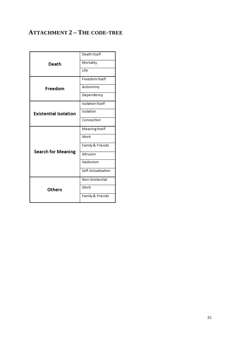# **ATTACHMENT 2 – THE CODE-TREE**

|                              | Death Itself            |
|------------------------------|-------------------------|
| Death                        | Mortality               |
|                              | <b>Life</b>             |
|                              | <b>Freedom Itself</b>   |
| Freedom                      | Autonomy                |
|                              | Dependency              |
|                              | <b>Isolation Itself</b> |
| <b>Existential Isolation</b> | Isolation               |
|                              | Connection              |
|                              | Meaning Itself          |
|                              | Work                    |
|                              | Family & Friends        |
| <b>Search for Meaning</b>    | Altruism                |
|                              | Hedonism                |
|                              | Self-Actualization      |
|                              | Non-Existential         |
| <b>Others</b>                | Work                    |
|                              | Family & Friends        |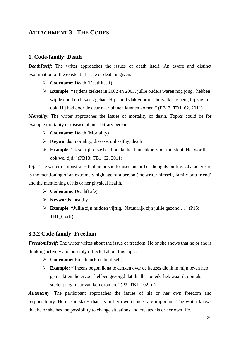# **ATTACHMENT 3 - THE CODES**

# **1. Code-family: Death**

*DeathItself*: The writer approaches the issues of death itself. An aware and distinct examination of the existential issue of death is given.

- **Codename:** Death (DeathItself)
- **Example**: "Tijdens ziektes in 2002 en 2005, jullie ouders waren nog jong, hebben wij de dood op bezoek gehad. Hij stond vlak voor ons huis. Ik zag hem, hij zag mij ook. Hij had door de deur naar binnen kunnen komen." (PB13: TB1\_62, 2011)

*Mortality*: The writer approaches the issues of mortality of death. Topics could be for example mortality or disease of an arbitrary person.

- **Codename**: Death (Mortality)
- **Keywords**: mortality, disease, unhealthy, death
- **Example**: "Ik schrijf deze brief omdat het binnenkort voor mij stopt. Het wordt ook wel tijd." (PB13: TB1\_62, 2011)

Life: The writer demonstrates that he or she focuses his or her thoughts on life. Characteristic is the mentioning of an extremely high age of a person (the writer himself, family or a friend) and the mentioning of his or her physical health.

- **Codename**: Death(Life)
- **Keywords**: healthy
- **Example**: **"**Jullie zijn midden vijftig. Natuurlijk zijn jullie gezond,…" (P15: TB1\_65.rtf)

#### **3.3.2 Code-family: Freedom**

*FreedomItself*: The writer writes about the issue of freedom. He or she shows that he or she is thinking actively and possibly reflected about this topic.

- **Codename:** Freedom(FreedomItself)
- **Example: "** Ineens begon ik na te denken over de keuzes die ik in mijn leven heb gemaakt en die ervoor hebben gezorgd dat ik alles bereikt heb waar ik ooit als student nog maar van kon dromen." (P2: TB1\_102.rtf)

*Autonomy*: The participant approaches the issues of his or her own freedom and responsibility. He or she states that his or her own choices are important. The writer knows that he or she has the possibility to change situations and creates his or her own life.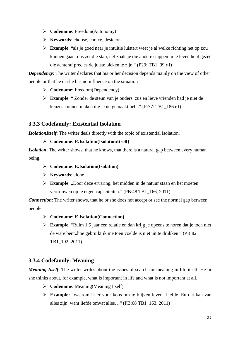- **Codename:** Freedom(Autonomy)
- **Keywords**: choose, choice, desicion
- **Example**: "als je goed naar je intuitie luistert weet je al welke richting het op zou kunnen gaan, dus zet die stap, net zoals je die andere stappen in je leven hebt gezet die achteraf precies de juiste bleken te zijn." (P29: TB1\_99.rtf)

*Dependency*: The writer declares that his or her decision depends mainly on the view of other people or that he or she has no influence on the situation

- **Codename**: Freedom(Dependency)
- **Example**: " Zonder de steun van je ouders, zus en lieve vrienden had je niet de keuzes kunnen maken die je nu gemaakt hebt." (P:77: TB1\_186.rtf)

# **3.3.3 Codefamily: Existential Isolation**

*IsolationItself*: The writer deals directly with the topic of existential isolation.

### **Codename: E.Isolation(IsolationItself)**

*Isolation*: The writer shows, that he knows, that there is a natural gap between every human being.

- **Codename**: **E.Isolation(Isolation)**
- **Keywords**: alone
- **Example:** "Door deze ervaring, het midden in de natuur staan en het moeten vertrouwen op je eigen capaciteiten." (PB:48 TB1\_166, 2011)

*Connection*: The writer shows, that he or she does not accept or see the normal gap between people

- **Codename: E.Isolation(Connection)**
- **Example**: "Ruim 1,5 jaar een relatie en dan krijg je opeens te horen dat je toch niet de ware bent..hoe gebruikt ik me toen voelde is niet uit te drukken." (PB:82 TB1\_192, 2011)

# **3.3.4 Codefamily: Meaning**

*Meaning Itself*: The writer writes about the issues of search for meaning in life itself. He or she thinks about, for example, what is important in life and what is not important at all.

- **Codename:** Meaning(Meaning Itself)
- **Example:** "waarom ik er voor koos om te blijven leven. Liefde. En dat kan van alles zijn, want liefde omvat alles…" (PB:68 TB1\_163, 2011)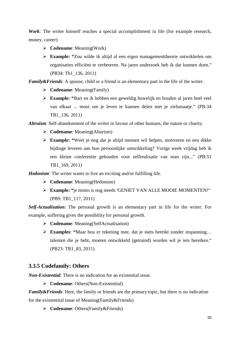*Work*: The writer himself reaches a special accomplishment in life (for example research, money, career)

- **Codename**: Meaning(Work)
- **Example: "**Zou wilde ik altijd al een eigen managementtheorie ontwikkelen om organisaties efficiënt te verbeteren. Na jaren onderzoek heb ik dat kunnen doen." (PB34: Tb1\_136, 2011)

*Family&Friends*: A spouse, child or a friend is an elementary part in the life of the writer.

- **Codename**: Meaning(Family)
- **Example: "**Bart en ik hebben een geweldig huwelijk en houden al jaren heel veel van elkaar ... mooi om je leven te kunnen delen met je zielsmaatje." (PB:34 TB1\_136, 2011)

*Altruism*: Self-abandonment of the writer in favour of other humans, the nature or charity.

- **Codename**: Meaning(Alturism)
- **Example: "**Weet je nog dat je altijd mensen wil helpen, motiveren en een dikke bijdrage leveren aan hun persoonlijke ontwikkeling? Vorige week vrijdag heb ik een kleine conferentie gehouden voor zelfrealisatie van man zijn..." (PB:51 TB1\_169, 2011)

*Hedonism*: The writer wants to live an exciting and/or fulfilling life.

- **Codename**: Meaning(Hedonism)
- **Example: "**je motto is nog steeds 'GENIET VAN ALLE MOOIE MOMENTEN!" (PB9: TB1\_117, 2011)

*Self-Actualisation*: The personal growth is an elementary part in life for the writer. For example, suffering gives the possibility for personal growth.

- **Codename**: Meaning(SelfActualisation)
- **Examples**: **"**Maar hou er rekening mee, dat je niets bereikt zonder inspanning… talenten die je hebt, moeten ontwikkeld (getraind) worden wil je iets bereiken." (PB23: TB1\_83, 2011)

# **3.3.5 Codefamily: Others**

*Non-Existential*: There is no indication for an existential issue.

**Codename:** Others(Non-Existentital)

*Family&Friends*: Here, the family or friends are the primary topic, but there is no indication for the existentital issue of Meaning(Family&Friends)

**Codename**: Others(Family&Friends)